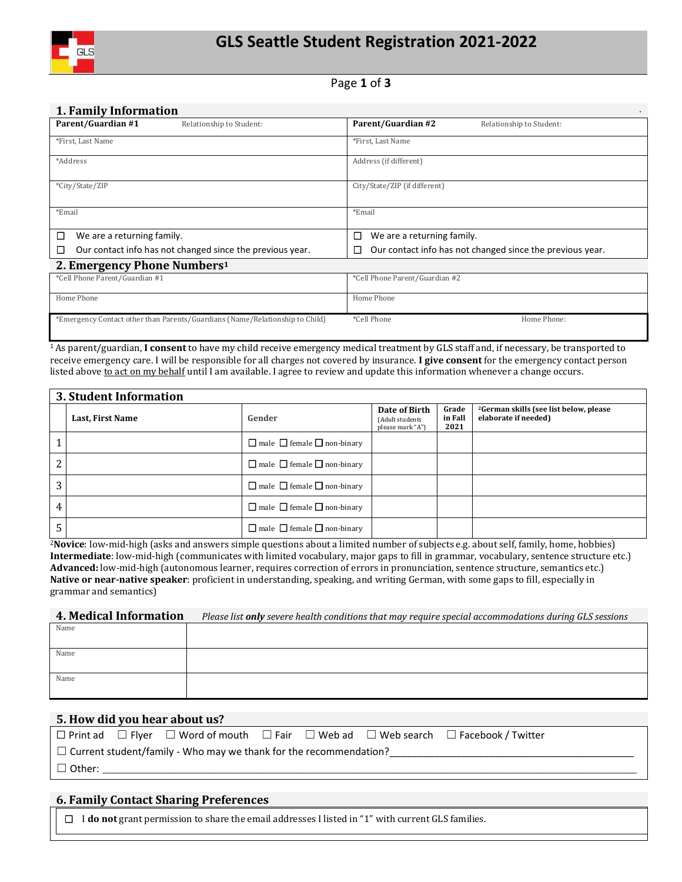

# Page **1** of **3**

#### **1. Family Information** *.*

| Parent/Guardian #1<br>Relationship to Student:                               | Parent/Guardian #2<br>Relationship to Student:                 |
|------------------------------------------------------------------------------|----------------------------------------------------------------|
| *First, Last Name                                                            | *First, Last Name                                              |
| *Address                                                                     | Address (if different)                                         |
| *City/State/ZIP                                                              | City/State/ZIP (if different)                                  |
| *Email                                                                       | *Email                                                         |
| □<br>We are a returning family.                                              | We are a returning family.<br>□                                |
| Our contact info has not changed since the previous year.<br>□               | Our contact info has not changed since the previous year.<br>◻ |
| 2. Emergency Phone Numbers <sup>1</sup>                                      |                                                                |
| *Cell Phone Parent/Guardian #1                                               | *Cell Phone Parent/Guardian #2                                 |
| Home Phone                                                                   | Home Phone                                                     |
| *Emergency Contact other than Parents/Guardians (Name/Relationship to Child) | *Cell Phone<br>Home Phone:                                     |

<sup>1</sup> As parent/guardian, **I consent** to have my child receive emergency medical treatment by GLS staff and, if necessary, be transported to receive emergency care. I will be responsible for all charges not covered by insurance. **I give consent** for the emergency contact person listed above to act on my behalf until I am available. I agree to review and update this information whenever a change occurs.

|                | <b>3. Student Information</b> |                                             |                                                      |                          |                                                                            |  |  |  |  |
|----------------|-------------------------------|---------------------------------------------|------------------------------------------------------|--------------------------|----------------------------------------------------------------------------|--|--|--|--|
|                | Last, First Name              | Gender                                      | Date of Birth<br>(Adult students<br>please mark "A") | Grade<br>in Fall<br>2021 | <sup>2</sup> German skills (see list below, please<br>elaborate if needed) |  |  |  |  |
|                |                               | $\Box$ male $\Box$ female $\Box$ non-binary |                                                      |                          |                                                                            |  |  |  |  |
| $\overline{2}$ |                               | $\Box$ male $\Box$ female $\Box$ non-binary |                                                      |                          |                                                                            |  |  |  |  |
| 3              |                               | $\Box$ male $\Box$ female $\Box$ non-binary |                                                      |                          |                                                                            |  |  |  |  |
| 4              |                               | $\Box$ male $\Box$ female $\Box$ non-binary |                                                      |                          |                                                                            |  |  |  |  |
| 5              |                               | $\Box$ male $\Box$ female $\Box$ non-binary |                                                      |                          |                                                                            |  |  |  |  |

<sup>2</sup>**Novice**: low-mid-high (asks and answers simple questions about a limited number of subjects e.g. about self, family, home, hobbies) **Intermediate**: low-mid-high (communicates with limited vocabulary, major gaps to fill in grammar, vocabulary, sentence structure etc.) **Advanced:** low-mid-high (autonomous learner, requires correction of errors in pronunciation, sentence structure, semantics etc.) **Native or near-native speaker**: proficient in understanding, speaking, and writing German, with some gaps to fill, especially in grammar and semantics)

#### **4. Medical Information** *Please list only severe health conditions that may require special accommodations during GLS sessions*

| Name |  |
|------|--|
| Name |  |
| Name |  |

#### **5. How did you hear about us?**

|                                                                          |  |  |  |  |  | $\Box$ Print ad $\Box$ Flyer $\Box$ Word of mouth $\Box$ Fair $\Box$ Web ad $\Box$ Web search $\Box$ Facebook / Twitter |  |  |
|--------------------------------------------------------------------------|--|--|--|--|--|-------------------------------------------------------------------------------------------------------------------------|--|--|
| $\Box$ Current student/family - Who may we thank for the recommendation? |  |  |  |  |  |                                                                                                                         |  |  |
| $\Box$ Other:                                                            |  |  |  |  |  |                                                                                                                         |  |  |

#### **6. Family Contact Sharing Preferences**

I **do not** grant permission to share the email addresses I listed in "1" with current GLS families.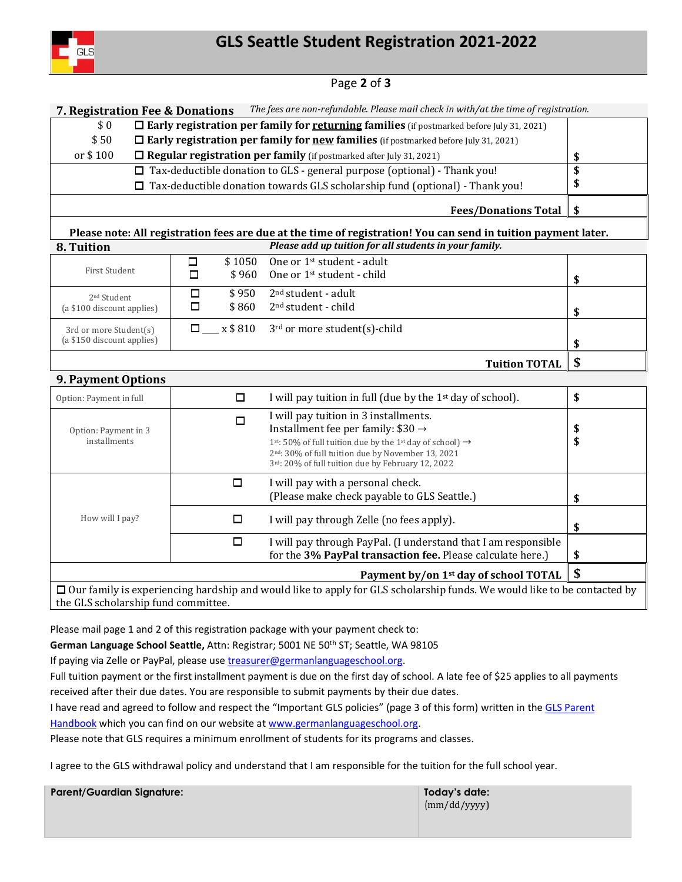

# Page **2** of **3**

**7. Registration Fee & Donations** *The fees are non-refundable. Please mail check in with/at the time of registration.*

- \$ 0 **Early registration per family for returning families** (if postmarked before July 31, 2021)
- \$ 50 **Early registration per family for new families** (if postmarked before July 31, 2021)
- or \$ 100 **Regular registration per family** (if postmarked after July 31, 2021) **\$**
	- $\square$  Tax-deductible donation to GLS general purpose (optional) Thank you!  $\Box$  Tax-deductible donation towards GLS scholarship fund (optional) - Thank you! **\$ \$**

**Fees/Donations Total \$**

#### **Please note: All registration fees are due at the time of registration! You can send in tuition payment later. 8. Tuition** *Please add up tuition for all students in your family.*

| First Student                                         | □           | \$1050<br>\$960 | One or 1 <sup>st</sup> student - adult<br>One or 1 <sup>st</sup> student - child | \$ |
|-------------------------------------------------------|-------------|-----------------|----------------------------------------------------------------------------------|----|
| 2 <sup>nd</sup> Student<br>(a \$100 discount applies) | □<br>$\Box$ | \$950<br>\$860  | $2nd student - adult$<br>2 <sup>nd</sup> student - child                         | \$ |
| 3rd or more Student(s)<br>(a \$150 discount applies)  |             | $\Box$ x \$ 810 | 3 <sup>rd</sup> or more student(s)-child                                         | \$ |
|                                                       |             |                 | <b>Tuition TOTAL</b>                                                             |    |

# **9. Payment Options**

| Option: Payment in full                                 |                          | I will pay tuition in full (due by the $1st$ day of school).                                                                                                                                                                                                                                                   | \$       |  |  |
|---------------------------------------------------------|--------------------------|----------------------------------------------------------------------------------------------------------------------------------------------------------------------------------------------------------------------------------------------------------------------------------------------------------------|----------|--|--|
| Option: Payment in 3<br>installments                    |                          | I will pay tuition in 3 installments.<br>Installment fee per family: $$30 \rightarrow$<br>1 <sup>st</sup> : 50% of full tuition due by the 1 <sup>st</sup> day of school) $\rightarrow$<br>2 <sup>nd</sup> : 30% of full tuition due by November 13, 2021<br>3rd: 20% of full tuition due by February 12, 2022 | \$<br>\$ |  |  |
|                                                         | $\Box$                   | I will pay with a personal check.<br>(Please make check payable to GLS Seattle.)                                                                                                                                                                                                                               | \$       |  |  |
| How will I pay?                                         | □                        | I will pay through Zelle (no fees apply).                                                                                                                                                                                                                                                                      | \$       |  |  |
|                                                         | $\overline{\phantom{a}}$ | I will pay through PayPal. (I understand that I am responsible<br>for the 3% PayPal transaction fee. Please calculate here.)                                                                                                                                                                                   | \$       |  |  |
| \$<br>Payment by/on 1 <sup>st</sup> day of school TOTAL |                          |                                                                                                                                                                                                                                                                                                                |          |  |  |
| the GLS scholarship fund committee.                     |                          | $\Box$ Our family is experiencing hardship and would like to apply for GLS scholarship funds. We would like to be contacted by                                                                                                                                                                                 |          |  |  |

Please mail page 1 and 2 of this registration package with your payment check to:

**German Language School Seattle,** Attn: Registrar; 5001 NE 50th ST; Seattle, WA 98105

If paying via Zelle or PayPal, please us[e treasurer@germanlanguageschool.org.](mailto:treasurer@germanlanguageschool.org)

Full tuition payment or the first installment payment is due on the first day of school. A late fee of \$25 applies to all payments received after their due dates. You are responsible to submit payments by their due dates.

I have read and agreed to follow and respect the "Important GLS policies" (page 3 of this form) written in the GLS Parent Handbook which you can find on our website at [www.germanlanguageschool.org.](http://www.germanlanguageschool.org/)

Please note that GLS requires a minimum enrollment of students for its programs and classes.

I agree to the GLS withdrawal policy and understand that I am responsible for the tuition for the full school year.

**Parent/Guardian Signature: Today's date:**

(mm/dd/yyyy)